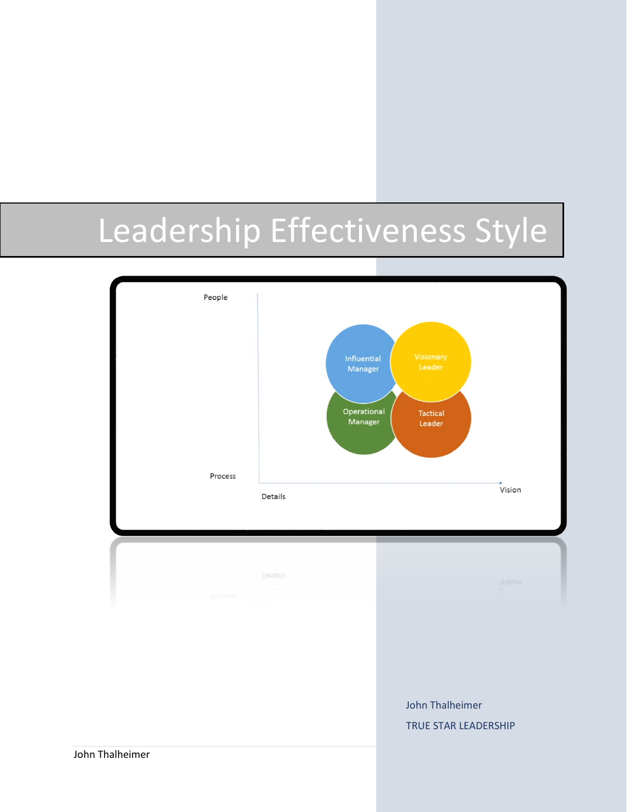# Leadership Effectiveness Style

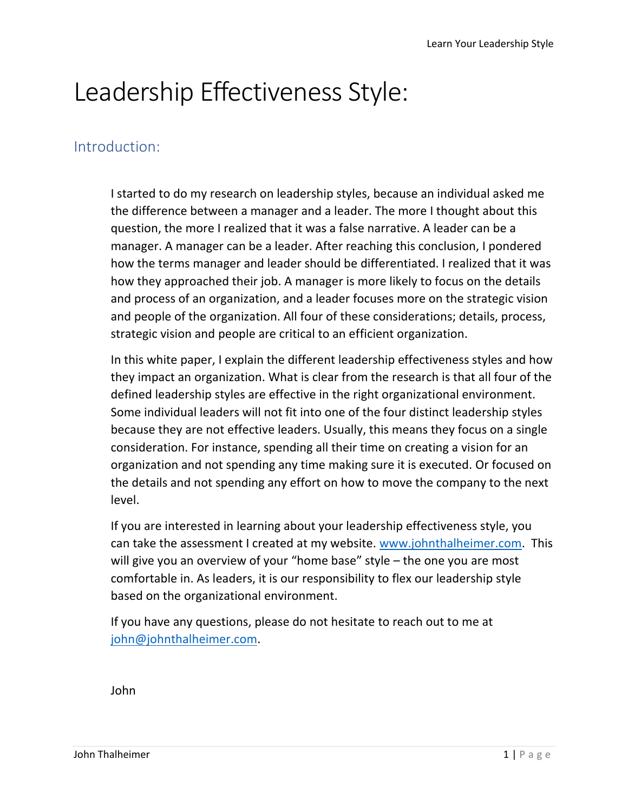# Leadership Effectiveness Style:

#### Introduction:

I started to do my research on leadership styles, because an individual asked me the difference between a manager and a leader. The more I thought about this question, the more I realized that it was a false narrative. A leader can be a manager. A manager can be a leader. After reaching this conclusion, I pondered how the terms manager and leader should be differentiated. I realized that it was how they approached their job. A manager is more likely to focus on the details and process of an organization, and a leader focuses more on the strategic vision and people of the organization. All four of these considerations; details, process, strategic vision and people are critical to an efficient organization.

In this white paper, I explain the different leadership effectiveness styles and how they impact an organization. What is clear from the research is that all four of the defined leadership styles are effective in the right organizational environment. Some individual leaders will not fit into one of the four distinct leadership styles because they are not effective leaders. Usually, this means they focus on a single consideration. For instance, spending all their time on creating a vision for an organization and not spending any time making sure it is executed. Or focused on the details and not spending any effort on how to move the company to the next level.

If you are interested in learning about your leadership effectiveness style, you can take the assessment I created at my website. [www.johnthalheimer.com.](http://www.johnthalheimer.com/) This will give you an overview of your "home base" style – the one you are most comfortable in. As leaders, it is our responsibility to flex our leadership style based on the organizational environment.

If you have any questions, please do not hesitate to reach out to me at [john@johnthalheimer.com.](mailto:john@johnthalheimer.com)

John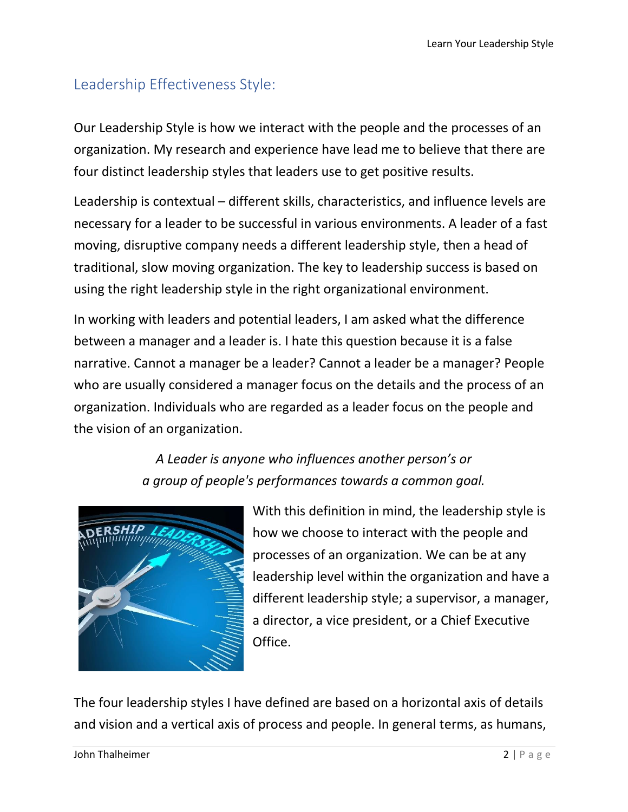## Leadership Effectiveness Style:

Our Leadership Style is how we interact with the people and the processes of an organization. My research and experience have lead me to believe that there are four distinct leadership styles that leaders use to get positive results.

Leadership is contextual – different skills, characteristics, and influence levels are necessary for a leader to be successful in various environments. A leader of a fast moving, disruptive company needs a different leadership style, then a head of traditional, slow moving organization. The key to leadership success is based on using the right leadership style in the right organizational environment.

In working with leaders and potential leaders, I am asked what the difference between a manager and a leader is. I hate this question because it is a false narrative. Cannot a manager be a leader? Cannot a leader be a manager? People who are usually considered a manager focus on the details and the process of an organization. Individuals who are regarded as a leader focus on the people and the vision of an organization.

> *A Leader is anyone who influences another person's or a group of people's performances towards a common goal.*



With this definition in mind, the leadership style is how we choose to interact with the people and processes of an organization. We can be at any leadership level within the organization and have a different leadership style; a supervisor, a manager, a director, a vice president, or a Chief Executive Office.

The four leadership styles I have defined are based on a horizontal axis of details and vision and a vertical axis of process and people. In general terms, as humans,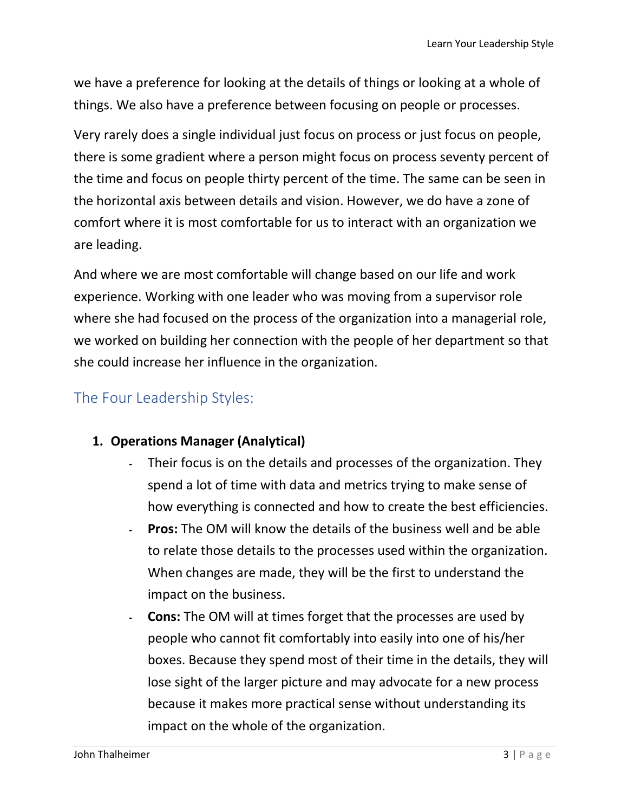we have a preference for looking at the details of things or looking at a whole of things. We also have a preference between focusing on people or processes.

Very rarely does a single individual just focus on process or just focus on people, there is some gradient where a person might focus on process seventy percent of the time and focus on people thirty percent of the time. The same can be seen in the horizontal axis between details and vision. However, we do have a zone of comfort where it is most comfortable for us to interact with an organization we are leading.

And where we are most comfortable will change based on our life and work experience. Working with one leader who was moving from a supervisor role where she had focused on the process of the organization into a managerial role, we worked on building her connection with the people of her department so that she could increase her influence in the organization.

### The Four Leadership Styles:

#### **1. Operations Manager (Analytical)**

- ۔ Their focus is on the details and processes of the organization. They spend a lot of time with data and metrics trying to make sense of how everything is connected and how to create the best efficiencies.
- ۔ **Pros:** The OM will know the details of the business well and be able to relate those details to the processes used within the organization. When changes are made, they will be the first to understand the impact on the business.
- ۔ **Cons:** The OM will at times forget that the processes are used by people who cannot fit comfortably into easily into one of his/her boxes. Because they spend most of their time in the details, they will lose sight of the larger picture and may advocate for a new process because it makes more practical sense without understanding its impact on the whole of the organization.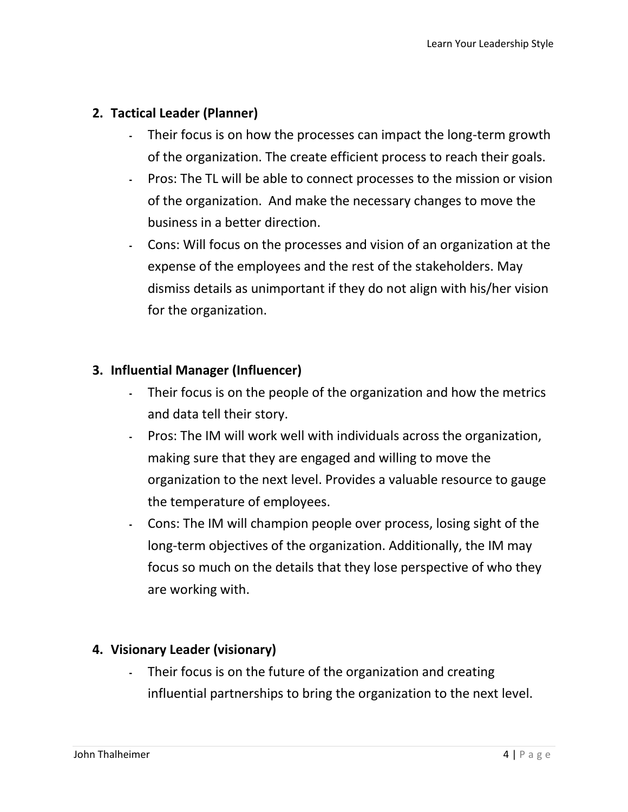#### **2. Tactical Leader (Planner)**

- ۔ Their focus is on how the processes can impact the long-term growth of the organization. The create efficient process to reach their goals.
- ۔ Pros: The TL will be able to connect processes to the mission or vision of the organization. And make the necessary changes to move the business in a better direction.
- ۔ Cons: Will focus on the processes and vision of an organization at the expense of the employees and the rest of the stakeholders. May dismiss details as unimportant if they do not align with his/her vision for the organization.

#### **3. Influential Manager (Influencer)**

- ۔ Their focus is on the people of the organization and how the metrics and data tell their story.
- ۔ Pros: The IM will work well with individuals across the organization, making sure that they are engaged and willing to move the organization to the next level. Provides a valuable resource to gauge the temperature of employees.
- ۔ Cons: The IM will champion people over process, losing sight of the long-term objectives of the organization. Additionally, the IM may focus so much on the details that they lose perspective of who they are working with.

#### **4. Visionary Leader (visionary)**

۔ Their focus is on the future of the organization and creating influential partnerships to bring the organization to the next level.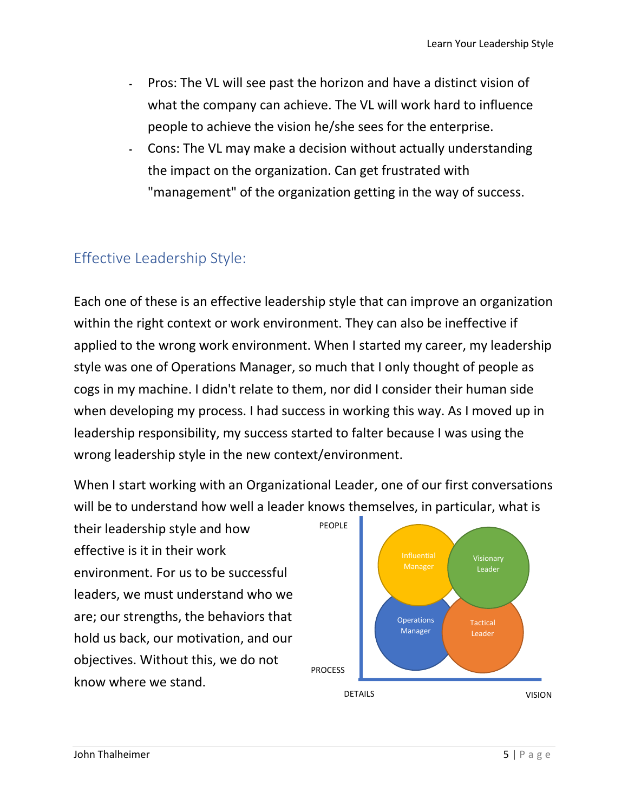- ۔ Pros: The VL will see past the horizon and have a distinct vision of what the company can achieve. The VL will work hard to influence people to achieve the vision he/she sees for the enterprise.
- ۔ Cons: The VL may make a decision without actually understanding the impact on the organization. Can get frustrated with "management" of the organization getting in the way of success.

# Effective Leadership Style:

Each one of these is an effective leadership style that can improve an organization within the right context or work environment. They can also be ineffective if applied to the wrong work environment. When I started my career, my leadership style was one of Operations Manager, so much that I only thought of people as cogs in my machine. I didn't relate to them, nor did I consider their human side when developing my process. I had success in working this way. As I moved up in leadership responsibility, my success started to falter because I was using the wrong leadership style in the new context/environment.

When I start working with an Organizational Leader, one of our first conversations will be to understand how well a leader knows themselves, in particular, what is

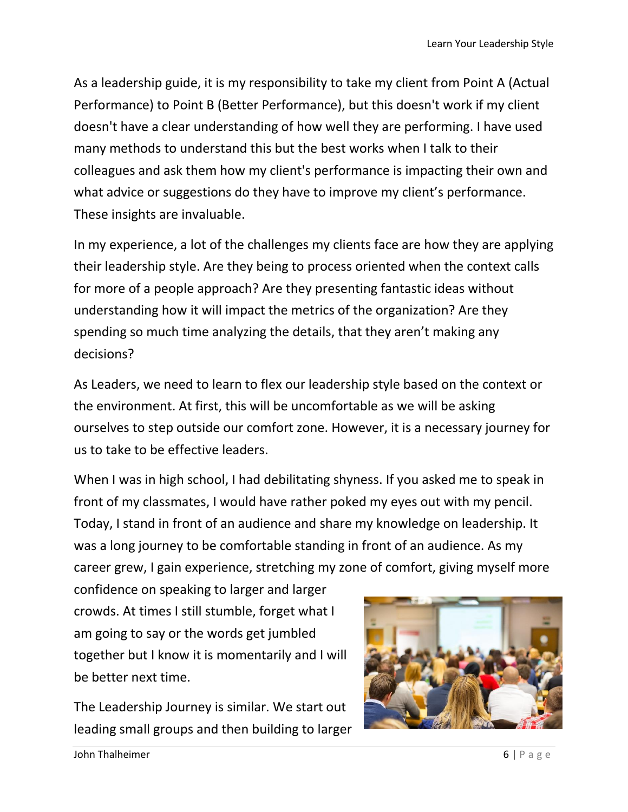As a leadership guide, it is my responsibility to take my client from Point A (Actual Performance) to Point B (Better Performance), but this doesn't work if my client doesn't have a clear understanding of how well they are performing. I have used many methods to understand this but the best works when I talk to their colleagues and ask them how my client's performance is impacting their own and what advice or suggestions do they have to improve my client's performance. These insights are invaluable.

In my experience, a lot of the challenges my clients face are how they are applying their leadership style. Are they being to process oriented when the context calls for more of a people approach? Are they presenting fantastic ideas without understanding how it will impact the metrics of the organization? Are they spending so much time analyzing the details, that they aren't making any decisions?

As Leaders, we need to learn to flex our leadership style based on the context or the environment. At first, this will be uncomfortable as we will be asking ourselves to step outside our comfort zone. However, it is a necessary journey for us to take to be effective leaders.

When I was in high school, I had debilitating shyness. If you asked me to speak in front of my classmates, I would have rather poked my eyes out with my pencil. Today, I stand in front of an audience and share my knowledge on leadership. It was a long journey to be comfortable standing in front of an audience. As my career grew, I gain experience, stretching my zone of comfort, giving myself more

confidence on speaking to larger and larger crowds. At times I still stumble, forget what I am going to say or the words get jumbled together but I know it is momentarily and I will be better next time.

The Leadership Journey is similar. We start out leading small groups and then building to larger